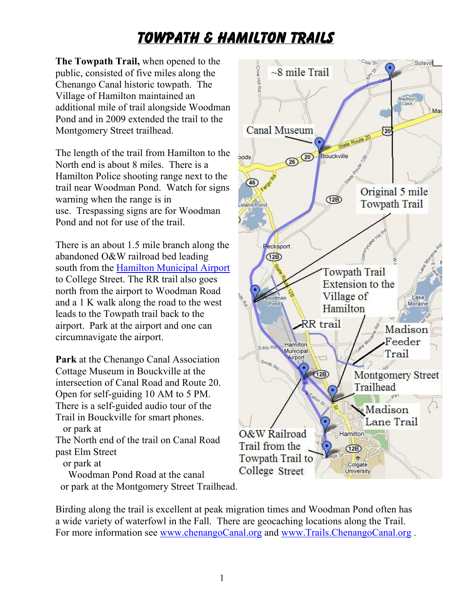## **Towpath & Hamilton Trails**

**The Towpath Trail,** when opened to the public, consisted of five miles along the Chenango Canal historic towpath. The Village of Hamilton maintained an additional mile of trail alongside Woodman Pond and in 2009 extended the trail to the Montgomery Street trailhead.

The length of the trail from Hamilton to the North end is about 8 miles. There is a Hamilton Police shooting range next to the trail near Woodman Pond. Watch for signs warning when the range is in use. Trespassing signs are for Woodman Pond and not for use of the trail.

There is an about 1.5 mile branch along the abandoned O&W railroad bed leading south from the Hamilton Municipal Airport to College Street. The RR trail also goes north from the airport to Woodman Road and a 1 K walk along the road to the west leads to the Towpath trail back to the airport. Park at the airport and one can circumnavigate the airport.

**Park** at the Chenango Canal Association Cottage Museum in Bouckville at the intersection of Canal Road and Route 20. Open for self-guiding 10 AM to 5 PM. There is a self-guided audio tour of the Trail in Bouckville for smart phones. or park at

The North end of the trail on Canal Road past Elm Street

or park at

 Woodman Pond Road at the canal or park at the Montgomery Street Trailhead.



Birding along the trail is excellent at peak migration times and Woodman Pond often has a wide variety of waterfowl in the Fall. There are geocaching locations along the Trail. For more information see www.chenangoCanal.org and www.Trails.ChenangoCanal.org .